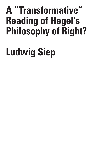# **A "Transformative" Reading of Hegel's Philosophy of Right?**

# **Ludwig Siep**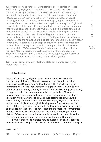**Abstract:** The wide range of interpretations and reception of Hegel's *Philosophy of Right*, can be divided into hermeneutic, creative or transformative approaches. In this essay, a transformative reading is defended. The argument focuses on Hegel's concepts of "Right" and "Objective Spirit" both of which bear on present debates in social ontology and legal philosophy. The first concept ("Right") combines a critique of the narrow individualistic and legalistic concepts of Right with a justification of the protective and egalitarian function of law enforcing institutions. The second concept ("Objective Spirit") avoids ontological individualism, as well as the exclusive actuality pertaining to systems, institutions, and collectives. However, Hegel's conception of state sovereignty as an end in-itself, and as the prefiguration of the absolute idea, tarnishes the relevance of his philosophy for social philosophy today. In addition, his teleological concept of nature and history is untenable in view of evolutionary theories and cultural pluralism. To release the potential of the *Philosophy of Right* a fundamental transformation is required. Modern social philosophy can work with other aspects of Hegel's philosophy of Spirit: Its normative anthropology, the history of radical experiences, and the theory of mutual recognition.

**Keywords:** social ontology, idealism, state sovereignty, civil rights, mutual recognition.

### **Introduction**

Hegel's *Philosophy of Right* is one of the most controversial texts in the history of philosophy. The controversy started immediately after its publication 200 years ago<sup>1</sup> and continues till this day. Its history of interpretation (Rezeptionsgeschichte) is tightly connected with its own influence on the history of thought, politics, and law (Wirkungsgeschichte). It triggered radical transformations in Left-Hegelianism, Marx, and has garnered a reputation and place amongst the main sources of both liberalism and communitarianism, and even totalitarianism. The Anglo-Saxon history of interpretation of the *Philosophy of Right* is particularly related to political and ideological developments. The last phase of this interpretation has taken a sharp turn from the postwar criticism in analytic and empiricist philosophy (Popper, Russel) to the recent neo-pragmatist defense (Pinkard, Brandom). Whereas the critics linked Hegel to the history of German authoritarianism, the latter readings place him within the history of democracy, or the common law tradition (Brandom).

Some of these controversies may be overcome by critical editions and annotations of Hegel's texts. However, in the case of the *Philosophy of* 

1 Riedel 1968

369

C R I T I Q U E / Volume 8

Issue 2

C R I S I S &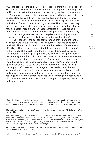*Right* the edition of the student notes of Hegel's different lectures between 1817 and 1831 even has incited new controversies. Together with biographic and historic investigations, these controversies gave rise to the picture of the "progressive" Hegel of the lectures disguised in the publication in order to pass state censure. I cannot go into the details of this controversy. The evidence for a piece of "persecution and the art of writing" (Leo Strauss) in the book of 1820/21 is unconvincing in my eyes. The student notes may be used as commentaries to help understand the published book, but not read against it. There are enough texts authorized by Hegel, especially in the "Objective spirit" section of the Encyclopedia (third edition 1830!) to confirm the arguments of the book. Hegel is not an apologist of the Prussian state, but not an early liberal constitutionalist either.<sup>2</sup>

The reasons for the deeper controversies are to be found in the book itself and its place in the Hegelian system. They are principally of two kinds: The first is the tension between the analysis of institutions effective in Hegel's time – one, but not the only meaning of "wirklich" in the preface of the book – and the systematic framework based on fundamental ("logical") principles. By this framework the philosophy of law, morality and ethical life is seen as "proof" of the absolute immanent in every reality $^3$  – the system as a whole. The second tension derives from the character of Hegel's principles itself. Their "self-movement" (Selbstbewegung)4 is based on their self-referential negativity. But the "explosive" character of this negativity is used within a holistic system aiming at reconciliation<sup>5</sup> between man and world, both natural and social. These tensions –allow for a variety of different and opposing readings which cannot simply be swept away – although almost any new interpretation claims to make every preceding one completely inadequate and superfluous.

C R I S I S & C

<sup>2</sup> Regarding his position in the Prussian constitutional debate cf. Lübbe-Wolff 1983, for the relation to the constitutional movements of the early 19<sup>th</sup> century cf. Siep 2015, 2018. The following text draws in an abbreviated form on former and present publications which I therefore take the allowance to refer to.

<sup>3</sup> For a stringent explanation of Hegel's conception of the immanent absolute ("All-Einheitslehre") cf. Henrich 1982.

<sup>4</sup> Cf. Phenomenology (GW 9, 41) and Science of Logic (GW 11, 8). I quote Hegel from the collected works edition (see bibliography) as GW (with volume no. and pages or §§) and occasionally the "Theorie-Werkausgabe" (TW). I use the abbreviations PR for Philosophy of Right, AW for the English edition by Alan Wood and Enc for Encyclopedia (1817 and 1830). As is well-known the PR was published in 1820 although 1821 is printed on the front page.

<sup>5</sup> This task which Hegel set for philosophy since his early writings has not been abandoned in the PR (cf. PR Preface, GW 14.1, 16 and § 360).

R I T I Q U E /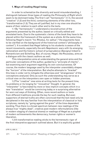# **1. Ways of reading Hegel today**

In order to schematize the diversity and avoid misunderstanding, I distinguish between three types of reading *the Philosophy of Right* which seem to be dominant today. The first I call "hermeneutic" (1.1), the second "creative" (1.2) and the third, containing elements of the other two, "transformative (1.3). They are all justified, but in my view one should be aware of their relation to each other and to the texts.

1.1 By "hermeneutic" I understand a reconstruction of the arguments presented by the author, based on critically edited and annotated texts. Due to the systematic claims of the book they have to be placed within the framework of the system as a whole. At the same time, following Hegel's maxim "hic Rhodus, hic saltus",<sup>6</sup> the arguments have to be clarified on the background of the historical context ("philosophy in context"). It is evident that Hegel talking to his students is aware of the recent movements, especially the anti-Napoleonic wars with its emerging nationalism and the historic school of jurisprudence (Savigny) linked to Romanticism and Schelling. But, of course, Hegel, like Rousseau, aims at a dialogue with the classic authors as well.

This interpretation aims at understanding the general aims and the particular conceptions of the author, guided by a "principle of charity", but examining each argument regarding its own conclusiveness. Of course, the modern language used by the interpreter unavoidably shapes the "horizon" of the interpretation. But she/he attempts to "bracket" this bias in order not to mitigate the otherness and "strangeness" of the conceptions analyzed. Only as such the understanding may serve as a critical view on the interpreters own open or hidden premises.

1.2 The "creative" view aims at writing texts for the present time, its problems or its longing for "innovative" thought. In general, the "interpreter" is fascinated by more or less implicit concepts which in a new "translation" would be convincing today or a surprising alternative for worn out ways of thinking. Often, more recent authors or texts from different traditions provide the key for such reading. But even supporters of eternal truths are often convinced that the text need only be deciphered in the way familiar from the interpretation of classical or holy scriptures, namely by "going against the grain" of the time-dependent wording. Thus there is a broad spectrum between new readings of the always true "mighty dead", creative post-modern reformulations (like in modern staging of classical drama) or readings of Hegel as a prophet of modern achievements like democracy, human rights or women's liberation.

1.3 A transformative reading sticks to the hermeneutic rigor of the first interpretive approach outlined above. But it is explicitly guided

6 PR 15, AW 21.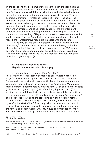by the questions and problems of the present – both philosophical and social. However, the transformative interpretation tries to distinguish how far Hegel can be helpful for solving them and where the limits are, due to the conceptual and historical premises of his thought. To some degree, his thinking, for instance regarding the state, the sexes, the immanent purpose of history, or the claims of spirit against nature<sup>7</sup> is even considered to belong to the very sources of present problems. His defense of metaphysics, which he tries to reconstruct on a par with the Kantian critique<sup>s</sup>, and of Christianity against the enlightenment generate consequences unacceptable from a modern point of view. A transformational reading of Hegel has to question these conceptions if it wants to make "the rest" prolific for modern philosophical tasks. In this regard, the transformative reading is in accord with the second.

This is only a broad sketch of alternatives requiring much more "fine tuning". I admit its bias, because I attempt to belong to the third alternative. In the following, I pick out two aspects of the *Philosophy of Right* which I consider suitable for such a transformative reading: Its concept of right (2.1) and the relation between individual and transindividual objective spirit (2.2).

#### **2. "Right and "objective spirit": Hegel and modern social philosophy**

2.1. Concept and critique of "Right" or "law" For a reading of Hegel's text with regard to contemporary problems, Hegel's very concept of right or law<sup>9</sup> seems to be of special interest. Regarding it, the most basic hermeneutical questions remain puzzling. Why does Hegel subsume the content of his *Philosophy of Right* under so many different titles: Philosophy of Right, natural law and science of state (subtitle) and objective spirit (title of the Encyclopedia section)? And what about the definition, justification, or deduction of this concept? In the Introduction of the PR (§ 2) Hegel assigns the "proof" or "deduction" of the "concept of Right" to the preceding part of philosophy, namely the Philosophy of Subjective Spirit. As its result, the concept of law is "given" at the start of the PR as comprising the determinate forms of a rational will aiming at its own freedom and its manifestation within the natural and social world (Enc. 1830, § 486). The introduction to the PR summarizes the concept of this will in a way accessible to common

& C R I T I Q U E / Volume 8

Issue 2

C R I S I S

<sup>7</sup> Cf. Siep (forthcoming a).

<sup>8</sup> Cf. his remarks regarding the relation between logic and metaphysic in the preface and introduction to the Science of Logic, GW 11, 5-8, 17-19, 22.

<sup>9</sup> In the following, I usually choose the translation "right" for "Recht" and "law" for "Gesetz" (only with a capital L for "das Recht").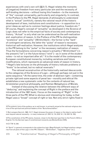experiences with one's own will (§§ 5-7). Hegel relates the moments of (negative) freedom from every particular aim and the necessity of self-binding decisions – without losing this freedom – to the moments of "the" concept: universality, particularity and singularity. In contrast, in the Preface to the PR, Hegel demands of philosophy to understand what is "actual" (wirklich), namely the rational result of the historic development of laws, institutions and constitutions – in opposition to a priori ideas as well as to common feelings about justice, freedom etc.10 Of course, Hegel's concept of "actuality" as developed in the Science of Logic does not refer to the empirical facts of society and contemporary history. "Actual" is only what can be understood as the self-realization and -explication of reason. In the Preface of the PR he distinguishes "existence" and "actuality" (Wirklichkeit) – the former is the "bark" of contingent variations, the latter the "pulse" of reason's necessary historical self-realization. However, the institutions which Hegel analyzes in the PR belong to the "pulse" or the necessary realization of reason. Thus the formulations concerning reason's actuality ("Wirklichkeit") in the present ("ist") or the future tense ("wird") – as in some of the student notes  $-$  is not so important after all.<sup>11</sup> It is the model of the contemporary European constitutional monarchy, including variations and future modifications, which represents an advanced state of reason in history. <sup>12</sup> Hegel's late lectures on the philosophy of history indicate problems or "knots" to be solved, but no radical reversals.<sup>13</sup>

The rational reconstruction of the historically realized idea accords to the categories of the Science of Logic – although perhaps not just in the same sequence.<sup>14</sup> At the same time, the order of abstract right – containing private right and some aspects of penal law – morality and ethical life establishes a new systematic order for the contents of natural law, Aristotelian practical philosophy, and Kantian Metaphysics of Morals.

Instead of discussing the relation between the different ways of "deducing" and explaining the concept of Right in the preface and the introduction of the 1821 book, I focus on the meaning of "Right" in the three parts of the PR. What is obvious and interesting for today, is that Hegel uses a "broad" concept of right or law. Not only strict rights fixed in

10 The polemic tone of the preface, as is well-known, is primarily aimed at the national-religious doctrine of the spiritual and political leaders of the "Burschenschaften".

12 The constitution of the PR seems, however, closer to the German type than to the French (1814) or English. For the German type of constitutional monarchy see Böckenförde (1976).

13 Cf. TW 12, 534.

S & C R I T I Q U E / Volume 8

C R I S I

Issue 2

<sup>11</sup> But compare Henrich, 1983, 13-17. Hegel stresses the power of reason or the idea to realize itself – even beyond natural necessity – in many instances (cf. GW 13, 114; GW 14.1, 16; GW 18, 153).

<sup>14 &</sup>quot;Spirit" in general corresponds to the subjective logic (Begriffslogik), but Hegel employs categories from all parts of the Logic in the PR ("Dasein", "Wirklichkeit", "negatives Urteil" etc.).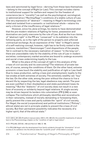laws and sanctioned by legal force – deriving from these laws themselves – belong to the concept of Right (or Law). This concept includes claims to institutional support for welfare and respect for the freedom of conscience (as in "morality") as well as the psychological, sociological, or administrative ("Rechtspflege") conditions of a stable culture of Law. The very expression of "abstract" – meaning in Hegel's terminology onesided and isolated from a semantic or institutional whole – retains his early criticism of the insufficiency of legal relations.<sup>15</sup>

However, since his Jena writings, he claims to have demonstrated that the pre-modern relations of fighting for honor, possession and domination are justly overcome by the rule of Law. And as the true claims of "abstract right" in the PR are "conserved" in its sublation into the following parts, so is the right of the person to property and unforced contractual exchange. As an expression of the "idea" in Hegel's sense of a self-realizing concept, however, right has to be firmly rooted in the customs, mentalities ("Gesinnungen") and dispositions of the people. Yet in contrast to the necessary realization of reason "in the long run", there are unavoidable risks for the stability of the rule of Law in modern societies: contemporary market societies are bound to undergo economic and social crises undermining loyalty to the Law.

What is the place of the concept of right in this analysis of the crises of civil society and its overcoming? The relations of private law are, of course, among the conditions of them. On the other hand, extreme economic crises touch the stability and justification of right or Law itself. Due to mass production, selling crises and unemployment, loyalty to the law erodes at both extremes of society. The extremely wealthy can "buy" the law. On the other side, among the poor without the chance to live a decent life by respecting the law, legal obedience may vanish. The poor are even justified in their disobedience and state punishment loses its meaning.16 But the "dialectic" of civil society does not result in a new form of economy or solidarity beyond legal relations. A single society may be driven beyond its borders into colonialism (PR § 248) or even collapse. The institutions which philosophy identifies and reconstructs in their rationality, instead of morally demanding or foreseeing them, partly prevent the crises and partly sublate the "spirit" of civil society. For Hegel, the social (corporations) and political institutions ("Polizey", ethical state) are not in principle unable to prevent the crises of civil society. But their permanent possibility indicates the necessity of a higher spirit, that of the ethical state.<sup>17</sup>

Issue 2

<sup>15</sup> Cf. GW 2, 201-204 (Frankfurt manuscripts), GW 4, 415- 485 (On the scientific treatments of natural law) or the Phenomenology chapter on the "condition of right or legal status".

<sup>16</sup> Cf. PR § 245, GW 26,1, 450 and Henrich 1983, S. 196.

<sup>17</sup> In PR § 256 Hegel calls the development from family solidarity through the "diremption" of civil society to its sublation into the ethical state the "scientific proof" of the latter's concept.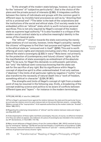To the strength of the modern state belongs, however, to give room for the "extreme" of "subjective particularity", that is the choice of lifeplans and the private pursuit of interests (§ 260). It integrates conflicts between the claims of individuals and groups with the common good in different ways: by invisible hand processes as well as by "directing their will to a universal end".18 The latter is the task of the corporations and the institutions of the social and ethical state. Civil society needs to be embedded within an "ethical" state which is worth inclusive personal sacrifices. This is not only required by Hegel's concept of the modern state as supreme legal authority.<sup>19</sup> It is also founded in a critique of the modern social contract state by a collective meaningful identity in the sense of the classical polis.

The "ethical"<sup>20</sup> relation towards the state overcoming the merely legal relations of civil society, however, limits Hegel's actuality: namely the citizens' willingness to find their last purpose and highest "freedom" in the ethical state as "unmoved end in itself" (§258). This end is worth offering all one's rights and interests (including one's life), if necessary to defend the state's sovereignty (§ 323) in wars.21 Nota bene: *not* primarily for the protection of (contemporary and future) citizens' rights, but for the manifestation of state sovereignty as embodiment of the absolute idea.<sup>22</sup> To be sure, for Hegel this demands no enthusiastic patriotism, but "only" the habitual semi-conscious knowing that the state can ask for the sacrifice of any right. But its significance within Hegel's concept of objective spirit is often underestimated: It not only realizes ("idealizes") the limits of all particular rights by negation ("nullity") but also transforms the necessity of natural death into a "work of freedom, something ethical in character" (§ 324, W 361).

The strengths and limits of Hegel's concept of right from a modern point of may be resumed in the following way: *firstly*, a broadening of the concept enabling science and politics to be aware of conflicts between different types and "layers" – for instance in the modern terminology

. . . . . . . . . . . . . .

21 If the dispensation of these rights manifests sovereignty, they are, of course, no effective limitation of it. They are rather an appeal, not a takeover of a piece of sovereignty (as intended in the revolutionary 18th declarations, cf. Hunt 2007, 114-116).

C R I T I Q U E / Volume 8

C R I S I S &

Issue 2

<sup>18</sup> PR § 260, AW 282, cf. also Enc (1830) § 537.

<sup>19</sup> This is Hegel`s permanent tenor against the relation between the state and the particular forces as a private law relation since his early manuscripts on the ancient German empire – compare Max Webers concept of the "expropriation" of all separate authorities by the modern state (as "Anstalt" – Weber 1988, 510 f.).

<sup>20</sup> Regarding the underlying interpretation of "ethical" and the relation between state and religion see Siep 2015, 2017.

<sup>22</sup> Many recent defenses of Hegel's theory of war (for instance Wood, 1991, XXVI) overlook its function for ontological "idealism" (§ 278) and secularized theodicy ("justification of providence" § 324). This, however, marks the difference to modern theories of "just war" – namely justified only by the defense of (present and future) citizens' rights.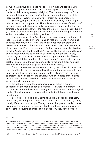between subjective and objective rights, individual and group claims ("cultural" rights, public goods etc.), protecting versus enabling rights (social, or today ecological rights). The contemporary conflicts between different "generations" of human rights or the debate of their individualistic or Western bias may profit from such a perspective.

*Secondly*, Hegel thinks that the deficiency of every form of legal relation has to be compensated. Not only by informal ways of mediation. $^{23}$ but more importantly by moral and ethical bonds. Customs, habits, and emotional sensibility allow for the recognition of irreducible individuality (as in moral conscience or private life plans) and the forming of emotional and rational relations of solidarity and trust.<sup>24</sup>

The reasons for Hegel's critique of the isolation and dominance of legal relations – especially concerning private law – are far from being obsolete. Not only the history of the relation between the state and private enterprise in colonialism and imperialism testify the dominance of "abstract right" and the freedom of "subjective particularity". Modern forms of "possessive individualism" or corporate snatch to global power and political influence still confirm such trends. On the other hand, the turn against the protection of individual rights or the rule of law – including the total abnegation of "enlightenment" – in authoritarian and totalitarian states of the 20<sup>th</sup> century led to forms of arbitrary rule with previously unimaginable degradations of human dignity.

Similar consequences were generated by the failure of states or of the rule of law in civil wars – even if legitimate in their beginning. In this light, the codification and enforcing of rights still seems the best way to protect the weak against the powerful. And even parts of the claims beyond "abstract law" have been laid down in voluminous codes for social or environmental law.

 They are at least a basis for legal demands and public pressure, especially by the media or social movements. In addition, different from the times of unlimited national sovereignty, social, cultural and ecological rights of individuals and groups are the subject of international law and jurisdiction.

Setting aside Hegel's anathema against philosophical prophecy, one may try to anticipate at least some future social problems regarding the significance of law or right. Taking climate change and pandemics as examples, the limits of the concept of right and legal procedures seems obvious: the securing of urgent public goods is widely considered to

23 PR § 223.

<sup>24</sup> In contrast to the Phenomenology, unfortunately, Hegel's discussion of conscience in the PR is much poorer regarding the integration of individual non-conformism in a "learning" community. But different from Robert Brandom I think that his concept of "forgiveness" is neither in the Phenomenology nor in the PR of such an all-understanding, pardoning and improving character as depicted in the "Spirit of Trust" (Brandom 2019). For a similar criticism see Knappik 2020.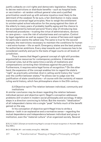justify cutbacks on civil rights and democratic legislation. However, to decree restrictions or distribute benefits – such as hospital beds or vaccination – at random without general rules and a justified prioritization would end up with extreme injustice most likely to the detriment of the weakest. To be sure, a fair distribution in many cases transcends universal legal principles. How to weigh the entitlement to uninterrupted school education for the young against the claim of the elderly to many years of probably healthy aging and the chance to die accompanied by beloved persons? Every step of introducing less formalized procedures – trusting the virtue of administrators, doctors or care-givers – runs the risk of voluntariness and corruption. Control by legal regulation as well as support for a sense of fairness and regard for particulars seems the safest way. The same is true for the second example, the restrictions necessary to maintain the conditions for human – and extra-human – life on earth. Emergency states are the best pretext for authoritarian ambitions. Every step towards such measures has to be considered carefully and put to the tests of legal courts on all levels of jurisdiction.

Thus it seems that Hegel's general concept of right still provides argumentative resources for contemporary problems. It demands universal rules, but at the same time a variety of mediations and compensations correcting their blindness against the particular. Furthermore, it requires extra-legal forms of recognition.<sup>25</sup> On the other hand, the expansion of the concept enables him to regard the state's "right" as practically unlimited. And in calling world history the "court" over the conflict between states,<sup>26</sup> he allows war to judge over the justification of state constitutions – of course with the certainty of reason ruling world history, which few philosophers share in the 21th century.

2.2 Objective spirit: The relation between individual, community and institutions

A similar conclusion may be drawn regarding the relation between individual person and objective spirit. Hegel's conception addresses problems still virulent in modern social philosophy and sociology. It takes steps in a direction convincing to follow. But the monistic "idealization" of all independent claims into a single "peak" forfeits much of the benefit gained on the way.

In his conception of objective spirit Hegel tries to strike a balance – both in an explanative and a normative sense – regarding the mutual dependence *and* independence between individual and group or institution, even the "material culture" of an organized society. Several

 $\blacksquare$ S & C R I T I  $\Omega$ U E / Volume 8 Issue 2

<sup>25</sup> As to modern attempts at transforming Hegel's concept of mutual recognition cf. Honneth 1992 and Siep 2020 a.

<sup>26</sup> Cf. PR §§ 334, 341 – and notably strong Enc. 1830 § 550.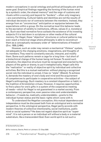modern conceptions in social ontology and political philosophy aim at the same goal. Empirical findings regarding the forming of the human mind by a symbolic order, the shared memory<sup>27</sup> and the reign of customs and rituals within a society and beyond its "borders" – often only imaginary – are overwhelming. Cultural habits and identities are not the results of individual decisions nor of contracts between the members. Instead, they emerge from an "unconscious" anticipation or equipoise between the expectations within a group. On the normative level this behavior leads to the ascription of validity to institutions, offices, values (f. e. monetary) etc. Such ascribed normative force outlasts the existence of its investing subjects if it is laid down in scriptures or other media of the cultural memory. For Hegel, these "objective" structures or cultural patterns may even reach a historical stage where philosophy is able to reconstruct them as a conceptually necessary order of "determinations of freedom" (Enc. 1830, § 484).

However, such an order may remain a mechanical "lifeless" system, not adequate to the changing emotions, imaginations, and thoughts of its members. They need to constantly execute, interpret, and modify them. Some such patterns remain a cage for a long time – but short of a biotechnical change of the human being not forever. To avoid such alienation, the objective structure must be recognized and enacted by the players of the game or drama, to put it metaphorically. Hegel calls this the "realization" or reality of objective spirit by individual and collective activities. But this is a mutual realization: without playing a recognized social role the individual is unreal, it has no "state" (Stand). To achieve it, demands the mastery of one's body and mind and the acquirement of competences to participate in cooperative activities – the subject of Hegel's anthropology. Such mastery is a constant disposition or habit, in the tradition of Aristotelian virtues. However, it requires opportunities to find a place for one's gifts in a system of the cooperative meeting of needs – which for Hegel is not guaranteed in a market society. From a contemporary perspective, even passive roles and understandable behavior – if needs be, medically understandable – grants to the individual human status and the basic rights which come with it.

To understand the Hegelian conception, this mutual dependence and independence must be discussed both from an *ontological* and a *normative* perspective. In the ontological perspective, Hegel partly accords with modern theories of collective intentionality, social institutions, public mind or social systems.<sup>28</sup> He does not regard objective spirit as "supermind". It is not a person or an individual will without a body or a material substratum, like a transcendent God. Even world spirit is not such a

27 Echterhoff et al. 2011.

28 For instance, Searle, Pettit or Luhmann. Cf. Siep 2020.

S & C R I T I Q U E / Volume 8

Issue 2

C R I S I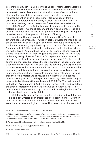personified entity governing history like a puppet master. Rather, it is the direction of the tendencies and institutional developments which can be reconstructed as leading to the rational solution of social problems. However, for Hegel this is not, as for Kant, a mere hermeneutical hypothesis. For him, such a "governance" follows not only from a systematic understanding of history, but from the relation of spirit to nature and to the system of categories. Reason has the irresistible force of the "idea", the unified network of all categories, to unfold and to materialize itself. Thus the philosophy of history can be understood as a secularized theodicy.<sup>29</sup> There is little agreement with Hegel in this regard in modern social philosophy and philosophy of history.

Another difference to modern philosophy is Hegel's view of different degrees of "reality" – which in part relativizes the thesis about the dependence of objective spirit on human individuals and nature. In the Platonic tradition, Hegel holds a gradual concept of reality and truth (ontological truth). It is most explicit in the philosophy of nature, where the higher levels ("Stufen") use the lower as its material and represent a more real and true existence. Hegel claims spirit to be the "truth" and underlying reality of nature. The latter's purpose and "determination" is to serve spirits self-understanding and free actions.  $30$  On the level of animal life, the individual serves the reproduction of the species without a concept or awareness of it. In contrast, the spiritual (human) individual is able to know and take a stance – affirmative and critical – towards the community and its institutions. However, the universal will embodied in permanent institutions represents a higher manifestation of the idea than the normal mortal and particular individual.31 This will itself is individualized ("we as I") in the particular sovereign state and its highest representative, the constitutional monarch (PR § 279). The institutional unification ("Vereinigung" § 258) is a higher form of reality and truth than the singular mortal individual.<sup>32</sup> As we have seen (above p.  $\lt 6$ ), this does not exclude the state's duty to protect individual rights but justifies its higher dignity and priority of rights.

Ontologically, such a Platonic teleology of being and truth has lost its plausibility. Ontologies of emergence and supervenience<sup>33</sup> are much more in accordance with the modern sciences, especially the view of evolution as a non-teleological process, This does not require to go back

29 Cf. TW 12, 540; in the same direction: GW 13, 114; GW 14.1. 16.

- 31 For a critique of Hegel's "strong institutionalism" cf. also Henrich 1983, 32-34.
- 32 Cf. GW 26, 3. 405 (confirming §§ 258 and 323 of the PR).
- 33 Cf. for instance Collier 1994.

R I S I S & C R I T I Q U E / Volume 8

Issue 2

C

<sup>30</sup> Although spirit depends on (or "presupposes") nature both cognitively – as its prefiguration and opposition – and practically, as condition for social activity. Regarding the "neo-platonic" aspects in the relation between objective spirit and nature see Siep (forthcoming a).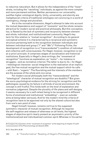to reductive naturalism. But it allows for the independence of the "lower" strata, including the "vanishing" individuals, as against the more complex and more permanent entities. Neither permanence nor universality justifies higher ontological dignity. Unity, universality, and eternity are metaphysical criteria of traditional ontologies not convincing in a world of contingency, change and pluralism.

As to the *normative* dimension, Hegel's attempt to take into account the mutual dependence and support of "moments" and the whole remains attractive for modern social and practical philosophy. But this conception, too, is flawed by the lack of symmetry and reciprocity between element and whole, individual, and institutionalized community. Hegel's key term for this relation is "mutual recognition". According to its general conceptual scheme it is characterized by a reciprocal and symmetric structure pertaining both to the recognition between individuals and between individual and group ("I" and "We").<sup>34</sup> Following Fichte, the development of recognition is a ("transcendental") condition of individual and collective self-consciousness. For Hegel, however, recognition is not an a-priori principle. It comprises stages of socialization and historical institutions. Especially in Hegel's Jena writings, the "movement of recognition" functions as explanation, as "motor" – for instance in struggles – and as normative criterion. The latter is due to its – for Hegel – teleological character: social integration is the realization of an implicit goal, the free mutual recognition and the mutual support which he calls – with Kant – "organic". The flourishing and the interests of the members are the purpose of the whole and vice versa.

For modern social philosophy both the "transcendental" and the "teleological" character of mutual recognition are doubtful.35 But given the socio-psychological evidence for the striving for recognition and the pathologies caused by its failure in all kinds of social environment, the concept is still fruitful. This holds both on the level of explanation and normative judgement. Despite the plurality of life-plans and self-designs, it seems necessary for a self-reliant being to be recognized in different forms of emotional and institutional "embedding" – even an outsider aims at being taken seriously. And for the modern mind the criteria of recognition have to be approved not only by the shared culture but also from one's own point of view.

Hegel himself, however, remains not true to the supposed symmetric character of mutual recognition. Although he requires the self-negation and release of otherness on all levels, the highest stages of objective spirit clearly present an asymmetric priority of the institutionalized and individualized common spirit. Whereas in his earlier

35 Cf. Siep 2014, 22-26.

I S & C R I T I Q U E / Volume 8

Issue 2

<sup>34</sup> Compare the exposition of the "movement of recognition" at the beginning of chapter IV (selfconsciousness) of the Phenomenology and Quante 2018.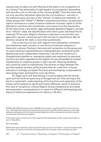manuscripts he talks of a self-offering of the state in his recognition of its citizens,36 the philosophy of right speaks of a recognition demanding self-sacrifice only on the side of the citizens  $(\S 324).^{37}$  And the state may not only sacrifice individual rights but the civil existence – not only in the material sense, but also in the "ethical" of habits and mentality– of whole groups (the "Pöbel").<sup>38</sup> Modern constitutional theory, recognizing a right to resistance in cases of severe violations of human rights or of the attempt to overthrow the constitution, turns away from this asymmetry. At the same time, a pluralistic legal philosophy abandons Hegel's concept of an "ethical" state, the identification with which gives individual life its meaning.39 To be sure, Hegel's intention to discover a non-private, nonegocentric secular communal spirit did not lose its significance. But its direction towards the state is more than problematic.

This is obvious not only with regard to the nationalist, colonialist and totalitarian past, but also to new forms of national-religious or theocratic cultures. Feeling in harmony and recognition by the group and its most important representatives is demanded and considered worth abandoning one's independent reasoning ("sacrificium intellectus"). Unquestioned obedience, unswaying loyalty and readiness for personal sacrifice are often regarded as the highest virtues demanded by trusted membership. In religious groups or their secular offspring doubting still counts as sinful or treacherous. The division of labor between the spiritual experts (priests, political party elite etc.) and their virtuous followers is willingly accepted. Precious and everlasting compensations have always been promised for such sacrifices.

For Hegel such self-disclaiming is irreconcilable with the human spirit and the strife for autonomy of thought and will. This striving is the key for a systematic understanding of the functions and capacities of the human spirit (subjective spirit) and history. Whoever wants to preserve this view of recognition without Hegel's strong metaphysical principles and asymmetric consequences is in need of a different anthropology and theory of historical experiences (cf. below p <16-18>).

37 This asymmetry can be found in other aspects of the philosophy of right, namely penal right, as well, cf. Siep 2017a.

38 Cf. Ruda 2011.

39 Absolute spirit, especially religion and philosophy, are more "full-blown" sources of meaning. But only insofar as they are in harmony with (and justify) the principles of the constitutional state.

Issue 2

C R I S I S &

<sup>36</sup> GW 8, 254, 255 (philosophy of spirit 1805/06): the universal "sacrificing itself to let me have my own". Although the institutional examples are preserved in the PR (welfare expenses, extra-legal mediation and pardon after the death penalty) Hegel here affirms the general symmetry between universal and individual self-negation.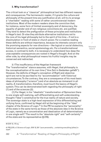# **3. Why transformation?**

The critical look on a "classical" philosophical text has different reasons and consequences. The hermeneutic reader, if it grants the culture and philosophy of the present time any justification at all, will try to arrange a "charitable" reading with some of rather uncontroversial modern institutions. Most of the modern readers share the conviction that, for instance, some form of limited sovereignty and of democracy, the equality of gender and of non-religious convictions etc. are justified. They tend to detect the prefiguration of these principles and institutions in Hegel's text. Or else they attribute alternative institutions not to the core of his legal philosophy but to the spirit of his time – if not to a dissimulation in front of state or church power. For a creative reading these deficits are without importance, because its interests concern only the promising aspects for new directions – like logical or social dialectics, historical semantics, social epistemology etc. For a transformational access, in contrast to both, it is necessary to understand how deep the unacceptable consequences are rooted in Hegel's thought. And on the other side, by what philosophical means his fruitful insights may be conserved and redirected.

3.1 The insufficiency of the Hegelian framework The "transformative" stance assumes, with Hegel, that philosophy is the conceptualization of its own time ("ihre Zeit in Gedanken gefaßt"). However, the deficits of Hegel's conception of Right and objective spirit are not to be ascribed to his "accommodation" with historical circumstances. To the contrary, they are a consequence of his most basic ideas of philosophy ("science") and of an absolute as immanent in all reality. A transformation, therefore, must touch the basics of Hegel's system. This can be demonstrated both regarding the philosophy of right (1) and of the sciences (2).

(1) For Hegel, in his "idealistic" transformation of Spinozism there is one single self-realizing, self-differentiating and self-understanding thought ("Idea") constitutive for the true reality of nature and society. The sovereign state is a high-level expression of this differentiating and unifying force, confirmed by Hegel still at the beginning of the "Idea" chapter of the Science of Logic.40 In the PR he explains the "personality" of the state in the same terms as those of the absolute idea in the Science of Logic, namely as a concentration and idealization of all determinations in one single self.41 The result is the "absolute right" and "self-certainty" of the state and its representative (§ 278).

40 GW 12, 175 sq.

41 PR § 278, cf. Science of Logic, GW 12, 251 "pure personality …containing everything (alles) in itself".

I S & C R I T I  $\Omega$  $\cup$ E / Volume 8

Issue 2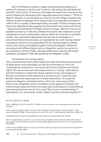(2) In the Platonic tradition, Hegel understands philosophy as a system of concepts to be the true "science" and setting the standards for scientific truth claims. To be sure, he accepts the empirical sciences as the point of depart for philosophy both regarding nature and history.<sup>42</sup> "Point of depart" however, is not the same as criterion of truth. Hegel compares the relation to that of digestion: The material has to be radically converted in order to fit in a system of self-explicating concepts.43 These concepts may have to be adjusted to the progress of science and new cultural life forms – requiring an amendment of Hegel's *Science of Logic*. But the criterion for valuable science is, in the end, whether the results and categories can be interpreted by such a philosophic system. Given the diversity of scientific results, their permanent adjustment and the role of contingency in natural and historical processes, an explanation by a self-closing holistic conceptual systems is not guaranteed. To be reconstructed according to the criteria of a philosophical system laid out by Hegel's method of conceptual self-differentiation and re-integration seems too narrow to be a selective criterion. Today, rational justification must do with lesser syllogistic stringency<sup>44</sup> than demanded by the Hegelian model.

#### 3.2 Outlines for transformation

The constitutional history after Hegel has seen both the extreme growth of state power and sovereignty as well as movements to limit it by constitutional restrictions, new forms of division of power and human rights. Of course, there are still arguments for a "strong" state able to limit the ambitions of both the liberal market society and religions.<sup>45</sup> But the conception of the state as the ultimate end in itself has had terrible historical repercussions. A state-absolutism, of course far away from Hegel's constitutionalism, led to the overcoming of the Rule of Law altogether and to incredible crimes against humanity. The controversies about the limits of single state sovereignty in constitutional and international law are far from over.<sup>46</sup> But if such overstretching of sovereignty is to be averted, human rights must be protected against it $47 -$ 

42 Cf. Enc.1830, §§ 7, 12, 38, 246.

43 Enc. 1830 §§ 14, 15 (cf. Enc.1817 § 10: "What is true in a science, is true because of and due to philosophy").

44 Even if the syllogistic relation between the concepts is understood as "making explicit" in the sense of Brandom (1994). The process has to come "full circle" in the Hegelian model (Enc. 1830, § 15).

45 Regarding this reason for strengthening state authority see Siep 2015, esp. 227-231.

46 The "responsibility to protect" is not universally accepted in international law. However, there is still support for the formula "protection of a population against severe crimes of its own government" (Kreß 2019).

47 According to Martin Kriele, the history of human rights can only be understood by their opposition to sovereignty (Kriele 1973).

R I S I S & C R I T I Q U E / Volume 8 Issue 2

C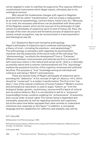not be negated in order to manifest its superiority. This requires different constitutional instruments which Hegel rejects, ultimately due to his ontological monism.

Why should the fundamental changes with regard to Hegelian premises still be called "transformation" and not simply a replacement by an empiricist epistemology, contract theory, historicism etc.? Because, in my view, the necessary alterations can be paralleled with those parts of the Hegelian system which are the sources of his philosophy of right, namely his philosophy of subjective spirit (1) and of history (2). Also, the concept of the inner structure and formative process of objective spirit, namely mutual recognition, may be reconstructed in a less asymmetric and teleological way (3).

3.2.1 Subjective Spirit and normative anthropology Hegel's philosophy of subjective spirit combines anthropology with a theory of mind – including the emotions – and epistemology. $48$ The anthropology is exemplary both regarding its psychosomatic character and the awareness of the social roots of the individual. The "phenomenology" recollects the development<sup>49</sup> from a "Cartesian" difference between consciousness and external world to a concept of self-conscious reason in the natural and social world – that is, a rationally accessible nature and a common institutionalized will. The "psychology" explains the purposive function of the cognitive, emotional and volitional faculties. This purpose is "true" knowledge aiming at individual and collective well-being ("Glück") and autonomy.

There are several traits of Hegel's philosophy of subjective spirit, providing the "deduction" of his concept of right (cf. above p. <4>), which should be "conserved" in a modern transformation. The *first* is his "top down" view of the natural conditions of human freedom.<sup>50</sup> Modern science and philosophical naturalism is used to argue "bottom up" from the biological (today: genetic, evolutionary, neuroscientific) basis of cultural and normative behavior. But it is not obsolete to ask for a "purposive" (zweckmäßig) human condition enabling his "achievements" of autonomy and a social order of equal rights. The human being is dependent and vulnerable, physically as well as regarding emotions and cognitions, but at the same time better equipped than other animals to understand intentions and cooperate on this basis.<sup>51</sup> In addition, a conceptual language and the capabilities for reflection and empathy may well be

48 Cf. Halbig 2002.

49 Elaborated in the Phenomenology of 1807.

50 Transforming the tradition of Kant's third critique and Fichte's Fundaments of Natural Law by a stronger, 'Aristotelian', teleology.

51 Tomasello 2016.

S & C R I T I Q U E / Volume 8

C R I S I

Issue 2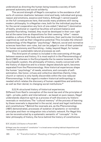understood as directing the human being towards a society of both personal autonomy and social solidarity.

The *second* strength of Hegel's conception is the avoidance of all sorts of common dualisms: between mind and body, individual and group, reason and emotions, essence and history. Although I cannot expand on the full consequences here, that avoids many problems still vexing modern philosophy. In a Hegelian view, both for the individual psyche as for the social cooperation any form of one-sided ("abstract") domination of bodily, emotional or cognitive faculties will prevent balance and possible flourishing. Instead, they must be developed in their own right but at the same time as dispositions for their seeming "other": reason enables a culture of the body and the emotions, their particular (including cognitive) as well as their integrative potential. This includes the inherent epistemology of the Hegelian "psychology": Natural, social and normative sciences have their own rules, but can be judged in view of their potential for human autonomy and flourishing – today, beyond Hegel, for human integration in sustainable natural processes as well.

The *third* point of contact is included in the overcoming of the gap between essence and history. It is most explicit in the *Phenomenology of Spirit* (1807) whereas in the Encyclopedia the tie seems loosened. In the encyclopedic system, the philosophy of history, mostly concerned with the history of objective and to a lesser degree absolute spirit, becomes separated from the *Phenomenology*. How historical experiences shape the human "psychology" of needs, emotions, and concepts of selfestimation, like honor, virtues and collective identities (family, tribe, church or nation) is only hardly discernible within the now reduced *Phenomenology*. In this regard a modern historical anthropology is needed which relates the discovery of human capabilities and ambitions, as well as their denial, to changing social institutions.<sup>52</sup>

#### 3.2.2 A structured history of historical experiences.

Different from Kant's conception of the moral law and of the principles of right – private, public and international – as based on pure reason, Hegel understands objective spirit as a process of self-discovery by historic reversals or revolutions. The "cultural memory" of the process of learning by these reversals is deposited in the social, moral and legal institutions and constitutions.53 Behind the reversals are, as the *Phenomenology* (1807) demonstrated, processes of isolation of epistemic or normative principles and their re-integration into a holistic network. For Hegel this can be reconstructed by a systematic semantic of "concepts". In his later philosophy of history, the force behind the history of constitutions

52 A valuable contribution is Frevert 2017.

C R  $\mathbf{I}$ S

<sup>53</sup> Hegel uses the concept of "constitution" in a broad sense including habitual dispositions and "mentalities" of populations.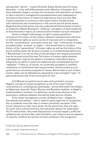and epochal "spirits" – mainly Oriental, Greek, Roman and Christian-Germanic – is the self-differentiation and reflection of freedom. As I have indicated, Hegel's concept of a necessary self-realization of reason or idea is bound to metaphysical presuppositions and inadequate to reconstruct the history of historical experiences since his time. But it seems possible to conceive a more open history of experiences with institutions and constitutions in the narrow and the broad sense. Regarding the broad sense one may understand Charles Taylor's history of modernity, Robert Brandom's "edifying" conception of post-modernity or Axel Honneth's history of communicative freedom as such attempts.<sup>54</sup>

Closer to Hegel's philosophy of right it seems possible to reconstruct the history of the relation between individual and collective or institutional rights as such a series of reversals and re-integration. For the "constitutional" principles which are "real" in the sense of widely accepted today – at least "on paper" – this would have to include a history of the "generations" of human rights as well as the history of the social welfare state, the division of power in a constitutional democracy ("Rechtsstaat") as well as that of secularization and religious pluralism may be reconstructed this way. The history of human rights presents a paradigmatic case for the pattern of isolation, domination and reintegration of rights in need to be balanced and compensated by their "opposite".55 There is, of course, no universally accepted or justified completion of institutional learning processes. And the steps are not governed by a necessary progress of reason. But at least a core of basic human rights can be defended as required by a less stringent "logic" of past experiences and of the moral point of view.

3.2.3 Mutual recognition as an open and symmetric process. Hegel's concept of mutual recognition is one of his most fruitful contributions to contemporary philosophy – as the aftermath from Kojève to Habermas, Honneth, Taylor, Ricoeur and Brandom testifies. In Hegel's implementation, however, it is defective, as becomes obvious in the asymmetric relations between the ethical state and its citizens.

If the rather homogenous society of Hegel's time – shaped by Christianity and estates – was in need of supra-legal ties of recognition, this is evidently more the case in modern pluralistic societies. Their social cohesion is under more strain. At the same time, they are open for much more cultural diversity and individual options for meaningful life. To realize them, they need dispositions of mutual respect, sufficient solidarity and curiosity. Non-discrimination, non-violence and acceptance of rules for conflicts are but the minimal conditions. The recognition

54 Taylor 2011, Brandom 2019, Honneth 2011. Issue 2

C R

<sup>55</sup> Cf. my attempt in Siep (forthcoming b).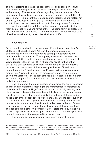of different forms of life and the acceptance of an equal claim to truth includes demanding forms of emotional and cognitive self-limitation and releasing of "otherness". Views regarding the interpretation of the common past as well as concerning necessary costs for the solution of problems will remain controversial. To confer experiences of a history not shared by a new generation – partly from radical different cultures – is a difficult task, as the present education in Germany proves. Except for the core of human rights and their protecting and enabling institutions, many social institutions and forms of life – including family or profession – are open to new "definitions". Mutual recognition is not a process to be closed by a final priority rule or historical form of life.

# **4. Conclusion**

Taken together, such a transformation of different aspects of Hegel's philosophy of objective spirit "saves" the promising aspects of this conception while avoiding both its strong presuppositions and unacceptable consequences. This implies, however, that some of the present institutions and cultural dispositions are from a philosophical view superior to that of the PR. In what sense? *First*, in the light of the latter's own concepts of freedom and recognition open to internal criticism. *Second*, in view of the catastrophic losses of freedom and recognition in the following centuries. Present institutions, norms and disposition, "invented" against the recurrence of such catastrophes, seen more appropriate in the light of these experiences. In addition, they are better equipped for societies with more varieties of life-forms for individual and groups.

Such a statement may seem anachronistic since the social, economic and technical developments leading to the aforementioned catastrophes could not be foreseen in Hegel's time. However, this is only partially true. Hegel was very clear-sighted regarding political and economic processes – such as the crises of the market society, the problems of the upcoming nationalism or the consequences of secularization. But the constitution of the modern Christian European<sup>56</sup> state which he rationally examined and reconstructed were not only insufficient to solve these problems. Some of them even paved the way – for instance the concept of the state as final purpose or the role of the "universal estate" of state-officials. To justify a reversal of priority as well as an open "experimental" history of symmetric recognition demands the suggested transformations.

The relation between concepts, experiences and institutions

Q U E /

C R I S I S & C R I T I

Volume 8 Issue 2

<sup>56</sup> The addition ("Zusatz") to § 258 in the first collected edition ("Freundesvereinsausgabe") has "developed (ausgebildet) state of our time" (TW 7, 404). The lecture notes Griesheim, from which most of the addition is taken, contain the expression "Christian European state" (GW 26,2, 1406).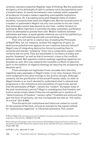certainly maintains essential Hegelian ways of thinking. But the systematic stringency of his philosophy of right is certainly not to be expected by such a transformation. A merely hermeneutic view, instead, either suspends all evidences of modern readers regarding unacceptable institutions or dispositions. Or, if accepting some post-Hegelian traits of modern societies, it projects them back into Hegel's text. But the reconstruction of a modern or postmodern Hegel's not only runs counter to his own claim, that philosophy cannot leap beyond its own time – neither forward nor backwards. More important, it overlooks the deep systematic justification which he attempted to provide them with. Modern relations between individuals and state, or equal gender-relations, are not to be justified by a philosophy of a self-realizing and self-concentrating idea.

Then why not opt for a creative way of reading the *Philosophy of Right*? Why not, for instance, unleash the negativity of spirit, its destructive potential even against its own creations (second nature)? Hegel's way of integrating destructive forces by pushing them to extremes and thereby "sublating" them into a cooperative organic whole certainly has its limits. They are identifiable in his theory of bodily and psychic diseases<sup>57</sup> as well as that of economic crises or the conflicts between states. But opposite creative readings regarding negativity are possible as well. One may interpret the insoluble conflicts of objective spirit in the tradition of negative theology as requiring the surpassing into absolute spirit.

 Those attempts are legitimate if one concedes their liberality regarding many passages in Hegel's texts. In my view, however, they are more congenial to the Jena writings or the *Science of Logic*. Although certainly not the glorification of the actual Prussian state, no other of Hegel's books is so much devoted to understand what is rational and progressive in the institutions and mentalities of a particular period than the philosophy of Right – namely the "modern" European state of the post-revolutionary period.58 Hegel is unambiguous that freedom and justice remain empty ideals if they are not spelled out in systems of "determinations of freedom", namely rights.<sup>59</sup> Codified and enforced they gain the form of necessity, not only conceptually but also as "the reality of a world" (Enc § 484).

Thus the particular institutional and historical content is crucial for the purpose of the book, not just an example for the logical method, for "autonomous negativity" or inferential semantics. This content

59 PR §§ 3, 4; Enc. 1830 § 484, cf. § 482.

S & C R I T I Q U E / Volume 8

Issue 2

C R I S I

<sup>57</sup> Which Hegel both conceives as a sort of rebellion of a part (moment) against the whole of the organism or the soul Enc. 1830 §§ 371-373, 408.

<sup>58</sup> According to the student notes of his lectures 1817/18 Hegel praises the French constitution decreed by Louis XVIII 1814 as the rational result of the reversals of French constitutions since 1791 (Hegel 1983, 190).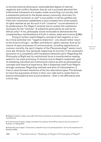is reconstructed as allowing an unprecedented degree of internal negativity and conflict. However, they do not in principle demolish the institutional framework of a modern state reconciling civil society with a substantial political (in the Greek sense) community. And even if a constitutional revolution or war<sup>60</sup> is successful, it will be justified only if the new constitution establishes a more complex form of the system of rights reached as yet. As such it will "conserve" crucial elements of its predecessors. For Hegel it certainly has to contain the institutions necessary for the "extreme" of subjective particularity as well as for ethical unity.61 If not, philosophy would not be able to demonstrate the complementary manifestations of truth in nature, state and science (§ 360).

Trying to further exploit Hegel's concept of self-negation or turn its critical potential into "negative dialectics", one should rather resort to the *Science of Logic* – as Marx and Adorno rightly realized. And as for visions of open processes of communication, including oppositions to common morality, the spirit chapter of the *Phenomenology*62 seems much more apt. However, this demands neglecting its function in the systematic ascension to a completely self-transparent absolute spirit. Regarding the *Philosophy of Right* and its institutional focus a transformative reading seems to me most promising. It remains true to Hegel's systematic goal of mediating individual and institutional claims as well as philosophical concepts and historical experience. But it dispenses itself from Hegel's stronger premises. Regarding methods and aims of interpretation, it tries to save the best intentions of the two alternative types: The attempt to trace the arguments of texts in their own right and to relate them to present philosophical and social problems – both in the affirmative and critical way.

I S I S & C R I T I Q U E / Volume 8 Issue 2

C R

<sup>60</sup> Hegel considers modern wars after the French revolution as attempts to disseminate progressive constitutions.

<sup>61</sup> If not the end of history, Hegel considers the outlines of the PR as close to the true system of freedom, cf. Halbig 2013.

<sup>62</sup> Especially the chapter "Conscience, beautiful soul, evil and forgiveness" (of crucial importance for Brandom 2019).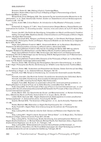C R I S I S & C R I T I  $\Omega$ U E / Volume 8 Issue 2 Brandom, Robert B. 1994, *Making it Explicit*, Cambridge/Mass. Brandom, Robert 2019, *A Spirit of Trust*: *A Reading of Hegel's Phenomenology of Spirit*, Cambridge/Mass. & London. Böckenförde, Ernst-Wolfgang 1976, 'Der deutsche Typ der konstitutionellen Monarchie im 19. Jahrhundert', in: id., *Staat, Gesellschaft, Freiheit. Studien zur Staatstheorie und zum Verfassungsrecht*, Frankfurt a.M., 112–145. Collier, André 1994, *Critical Realism. An Introduction to Roy Bhaskar's Philosophy*, London/ New York. Echterhoff, G./ Higgins, E. T. 2011, 'How Communication Shapes Memory, Shared Reality and Implications for Culture', in: *Grounding sociality - neurons, mind, and culture*, ed. by G. R. Semin, New York. Frevert, Ute 2017, *Die Politik der Demütigung. Schauplätze von Macht und Ohnmacht*, Frankfurt. Halbig, Christoph 2002, *Objektives Denken. Erkenntnistheorie und Philosophy of Mind in Hegels System*, Stuttgart-Bad Cannstatt. Halbig, Christoph 2013, 'Religion und Politik bei Hegel', in: Dirk Brantl, Rolf Geiger; Stephan Herzberg (Eds.), *Philosophie, Politik und Religion. Klassische Modelle von der Antike bis zur Gegenwart* Berlin 2013, 191-203. Hegel, Georg Wilhelm Friedrich 1968 ff., *Gesammelte Werke*. ed. by Nordrhein-Westfälische Akademie der Wissenschaften (volumes by different editors, abbreviated GW). Hegel, Georg Wilhelm Friedrich 1970, Auf der Grundlage der Werke 1832-1845 neu edierte Ausgabe. Redaktion Eva Moldenhauer und Karl Markus Michel, Frankfurt (abbreviated TW). Hegel, Georg Wilhelm Friedrich 1983, *Vorlesungen über Naturrecht und Staatswissenschaft*. Heidelberg 1817/18 mit Nachträgen aus der Vorlesung 1818/19. Nachgeschrieben von P. Wannenmann,

ed. by C. Becker et al. Hamburg. Hegel, Georg Wilhelm Friedrich 2014, *Elements of the Philosophy of Right*, ed. by Alan Wood,

transl. by H.B. Nisbet, Cambridge (abbreviated AW). Henrich, Dieter 1983, 'Einleitung des Herausgebers. Vernunft in Verwirklichung', in: id. (Ed.):

*G.W.F. Hegel*. *Philosophie des Rechts. Die Vorlesung von 1819/20 in einer Nachschrift*, Frankfurt/Main, 9-39.

Henrich, Dieter 1982, 'Andersheit und Absolutheit des Geistes. Sieben Schritte auf dem Weg von Schelling zu Hegel', in: id., *Selbstverhältnisse*, Stuttgart, 142-172.

Honneth, Axel 1992, *Kampf um Anerkennung. Zur moralischen Grammatik sozialer Konflikte*, Frankfurt.

Honneth, Axel 2011, *Das Recht der Freiheit. Grundriß einer demokratischen Sittlichkeit*, Berlin. Honneth, Axel 2018, *Anerkennung. Eine europäische Ideengeschichte*, Berlin. Hunt, Lynn 2007, *Inventing Human Rights*, New York/London.

Knappik, Franz 2020, 'Brandom on postmodern ethical life: moral and political problems', in: *Reading Brandom on A Spirit of Trust*, ed. by Gilles Bouché, London/New York, 184-197.

Kreß, Claus 2019, 'On the Principle of Non-use of Force in Current International Law', in: *Just Security 2019*. file:///C:/Users/User/Documents/Kreß/Texte/On the Principle of Non-Use of Force in Current International Law.html.

Kriele, Martin 1973, 'Zur Geschichte der Grund- und Menschenrechte', in: Norbert Achterberg (Ed.), *Öffentliches Recht und Politik, Festschrift für H. U. Scupin*, Berlin, 187-212.

Lübbe-Wolff, Gertrude 1981, 'Hegels Staatsrecht als Stellungnahme im ersten preußischen Verfassungskampf', in: *Zeitschrift für philos. Forschung 35*, 476-501.

Quante, Michael 2018, 'The Grammar of Recognition', in: id., *Spirits Actuality.* Paderborn 2018, 171-186.

Riedel, Manfred 1968, *Materialien zu Hegels Rechtsphilosophie*, Vol. 1, Frankfurt.

Ruda, Frank 2011, *Hegels Pöbel. Eine Untersuchung der Grundlinien der Philosophie des Rechts*, Konstanz.

Siep, Ludwig 2015, *Der Staat als irdischer Gott. Genese und Relevanz einer Hegelschen Idee*, Tübingen.

Siep, Ludwig 2017, 'Hegel's Liberal, Social and "Ethical State"', in: D. Moyar (Ed.), *The Oxford Handbook of Hegel*, Oxford University Press 2017, 515-534.

Siep, Ludwig 2017a, 'Anerkennung, Strafe, Versöhnung. Zum philosophischen Rahmen von Hegels Strafrechtstheorie', in: Michael Kubiciel, Michael Pawlik, Kurt Seelmann (Eds.), *Hegels Erben. Strafrechtliche Hegelianer vom 18. bis 21. Jh.*, Tübingen, 7-28.

Siep, Ludwig 2018, 'Widerstandsrecht zwischen Vernunftstaat und Rechtsstaat', in: Schweikard, Mooren, Siep (Eds.), *Ein Recht auf Widerstand gegen den Staat? Verteidigung und Kritik des Widerstandsrechts seit der europäischen Aufklärung*, Tübingen, 99-131.